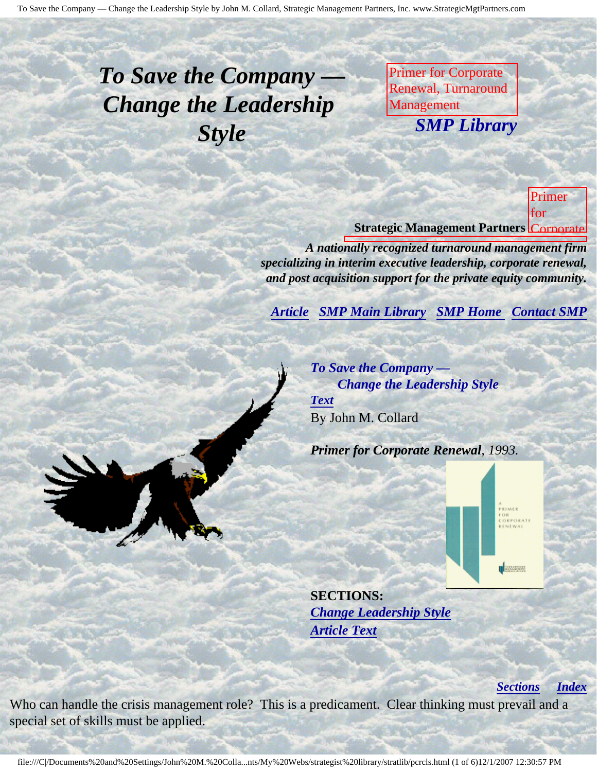## <span id="page-0-4"></span><span id="page-0-3"></span>*To Save the Company — Change the Leadership Style*

Primer for Corporate Renewal, Turnaround Management **SMP Librar** M. Collard, Strategic *SMP Library*

Management Partners,

Inc., published by

Newsletter of the Contractor

Corporate Renewal, Turnaround **Strategic Management Partners Corporate** Primer for

Association Renewal, *A nationally recognized turnaround management firm specializing in interim executive leadership, corporate renewal,* and post acquisition support for the private equity community.

<span id="page-0-0"></span>**[Article](#page-0-0) [SMP Main Library](http://members.aol.com/strategist/library.html#TOP) [SMP Home](http://members.aol.com/strategist/home.html#TOP) [Contact SMP](#page-4-0)** 

*To Save the Company — Change the Leadership Style [Text](#page-0-1)* By John M. Collard

*Primer for Corporate Renewal, 1993.*

**SECTIONS:** *[Change Leadership Style](#page-1-0) [Article Text](#page-0-1)*

*[Sections](#page-0-2) [Index](#page-0-3)*

Association,

Management

Collard, Strategic

Partners,

published

Newsletter

Corporate Corporate Renewal, Turnaround was Management of the Contract of Association

Inc.,

by

of

**U** Seconds

<span id="page-0-2"></span><span id="page-0-1"></span>Who can handle the crisis management role? This is a predicament. Clear thinking must prevail and a special set of skills must be applied.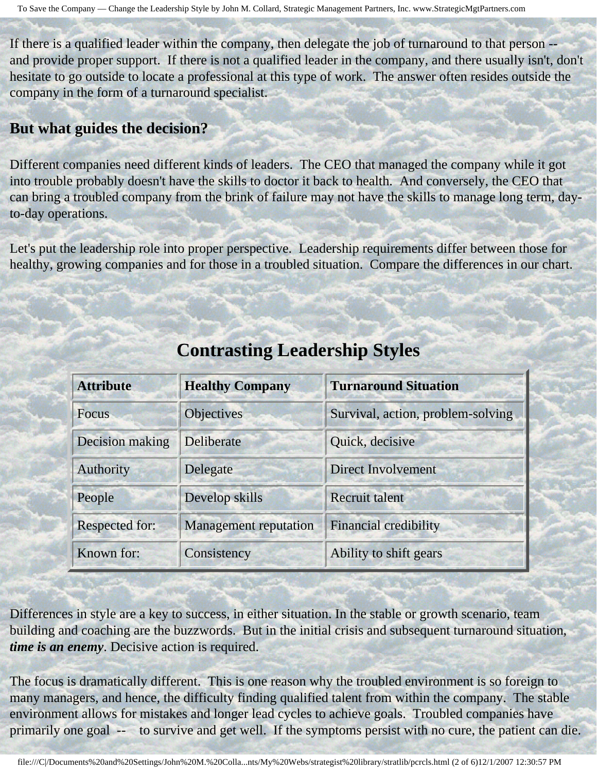If there is a qualified leader within the company, then delegate the job of turnaround to that person - and provide proper support. If there is not a qualified leader in the company, and there usually isn't, don't hesitate to go outside to locate a professional at this type of work. The answer often resides outside the company in the form of a turnaround specialist.

## **But what guides the decision?**

Different companies need different kinds of leaders. The CEO that managed the company while it got into trouble probably doesn't have the skills to doctor it back to health. And conversely, the CEO that can bring a troubled company from the brink of failure may not have the skills to manage long term, dayto-day operations.

<span id="page-1-0"></span>Let's put the leadership role into proper perspective. Leadership requirements differ between those for healthy, growing companies and for those in a troubled situation. Compare the differences in our chart.

| <b>Attribute</b>      | <b>Healthy Company</b>       | <b>Turnaround Situation</b>       |
|-----------------------|------------------------------|-----------------------------------|
| <b>Focus</b>          | <b>Objectives</b>            | Survival, action, problem-solving |
| Decision making       | Deliberate                   | Quick, decisive                   |
| Authority             | Delegate                     | <b>Direct Involvement</b>         |
| People                | Develop skills               | Recruit talent                    |
| <b>Respected for:</b> | <b>Management</b> reputation | <b>Financial credibility</b>      |
| Known for:            | Consistency                  | Ability to shift gears            |

## **Contrasting Leadership Styles**

Differences in style are a key to success, in either situation. In the stable or growth scenario, team building and coaching are the buzzwords. But in the initial crisis and subsequent turnaround situation, *time is an enemy*. Decisive action is required.

The focus is dramatically different. This is one reason why the troubled environment is so foreign to many managers, and hence, the difficulty finding qualified talent from within the company. The stable environment allows for mistakes and longer lead cycles to achieve goals. Troubled companies have primarily one goal -- to survive and get well. If the symptoms persist with no cure, the patient can die.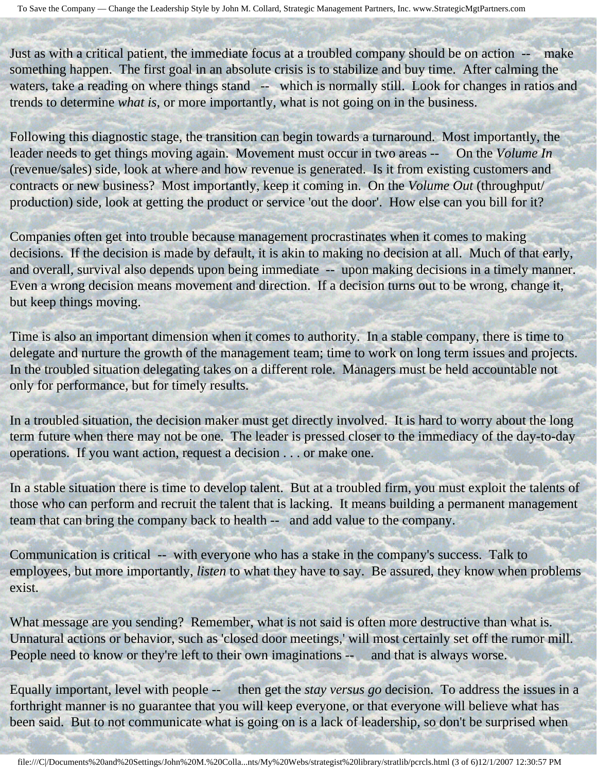Just as with a critical patient, the immediate focus at a troubled company should be on action -- make something happen. The first goal in an absolute crisis is to stabilize and buy time. After calming the waters, take a reading on where things stand -- which is normally still. Look for changes in ratios and trends to determine *what is*, or more importantly, what is not going on in the business.

Following this diagnostic stage, the transition can begin towards a turnaround. Most importantly, the leader needs to get things moving again. Movement must occur in two areas -- On the *Volume In* (revenue/sales) side, look at where and how revenue is generated. Is it from existing customers and contracts or new business? Most importantly, keep it coming in. On the *Volume Out* (throughput/ production) side, look at getting the product or service 'out the door'. How else can you bill for it?

Companies often get into trouble because management procrastinates when it comes to making decisions. If the decision is made by default, it is akin to making no decision at all. Much of that early, and overall, survival also depends upon being immediate -- upon making decisions in a timely manner. Even a wrong decision means movement and direction. If a decision turns out to be wrong, change it, but keep things moving.

Time is also an important dimension when it comes to authority. In a stable company, there is time to delegate and nurture the growth of the management team; time to work on long term issues and projects. In the troubled situation delegating takes on a different role. Managers must be held accountable not only for performance, but for timely results.

In a troubled situation, the decision maker must get directly involved. It is hard to worry about the long term future when there may not be one. The leader is pressed closer to the immediacy of the day-to-day operations. If you want action, request a decision . . . or make one.

In a stable situation there is time to develop talent. But at a troubled firm, you must exploit the talents of those who can perform and recruit the talent that is lacking. It means building a permanent management team that can bring the company back to health -- and add value to the company.

Communication is critical -- with everyone who has a stake in the company's success. Talk to employees, but more importantly, *listen* to what they have to say. Be assured, they know when problems exist.

What message are you sending? Remember, what is not said is often more destructive than what is. Unnatural actions or behavior, such as 'closed door meetings,' will most certainly set off the rumor mill. People need to know or they're left to their own imaginations -- and that is always worse.

Equally important, level with people -- then get the *stay versus go* decision. To address the issues in a forthright manner is no guarantee that you will keep everyone, or that everyone will believe what has been said. But to not communicate what is going on is a lack of leadership, so don't be surprised when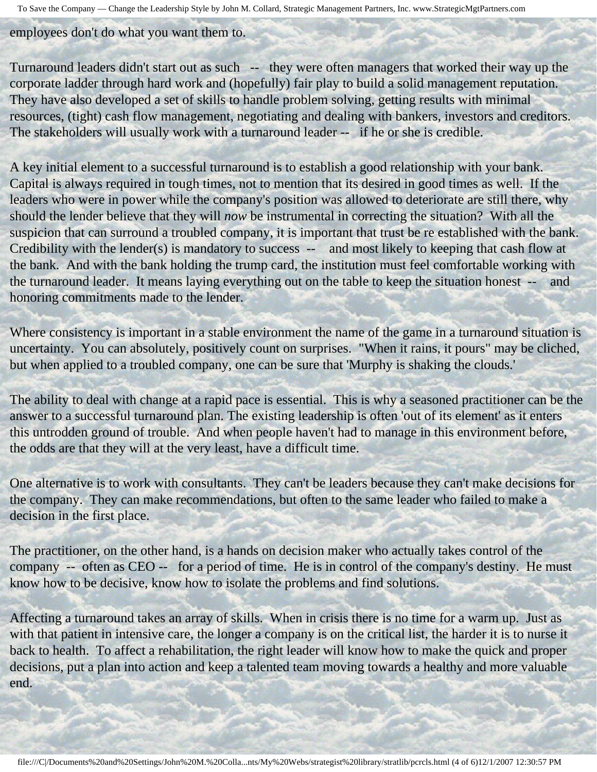To Save the Company — Change the Leadership Style by John M. Collard, Strategic Management Partners, Inc. www.StrategicMgtPartners.com

employees don't do what you want them to.

Turnaround leaders didn't start out as such -- they were often managers that worked their way up the corporate ladder through hard work and (hopefully) fair play to build a solid management reputation. They have also developed a set of skills to handle problem solving, getting results with minimal resources, (tight) cash flow management, negotiating and dealing with bankers, investors and creditors. The stakeholders will usually work with a turnaround leader -- if he or she is credible.

A key initial element to a successful turnaround is to establish a good relationship with your bank. Capital is always required in tough times, not to mention that its desired in good times as well. If the leaders who were in power while the company's position was allowed to deteriorate are still there, why should the lender believe that they will *now* be instrumental in correcting the situation? With all the suspicion that can surround a troubled company, it is important that trust be re established with the bank. Credibility with the lender(s) is mandatory to success -- and most likely to keeping that cash flow at the bank. And with the bank holding the trump card, the institution must feel comfortable working with the turnaround leader. It means laying everything out on the table to keep the situation honest -- and honoring commitments made to the lender.

Where consistency is important in a stable environment the name of the game in a turnaround situation is uncertainty. You can absolutely, positively count on surprises. "When it rains, it pours" may be cliched, but when applied to a troubled company, one can be sure that 'Murphy is shaking the clouds.'

The ability to deal with change at a rapid pace is essential. This is why a seasoned practitioner can be the answer to a successful turnaround plan. The existing leadership is often 'out of its element' as it enters this untrodden ground of trouble. And when people haven't had to manage in this environment before, the odds are that they will at the very least, have a difficult time.

One alternative is to work with consultants. They can't be leaders because they can't make decisions for the company. They can make recommendations, but often to the same leader who failed to make a decision in the first place.

The practitioner, on the other hand, is a hands on decision maker who actually takes control of the company -- often as CEO -- for a period of time. He is in control of the company's destiny. He must know how to be decisive, know how to isolate the problems and find solutions.

Affecting a turnaround takes an array of skills. When in crisis there is no time for a warm up. Just as with that patient in intensive care, the longer a company is on the critical list, the harder it is to nurse it back to health. To affect a rehabilitation, the right leader will know how to make the quick and proper decisions, put a plan into action and keep a talented team moving towards a healthy and more valuable end.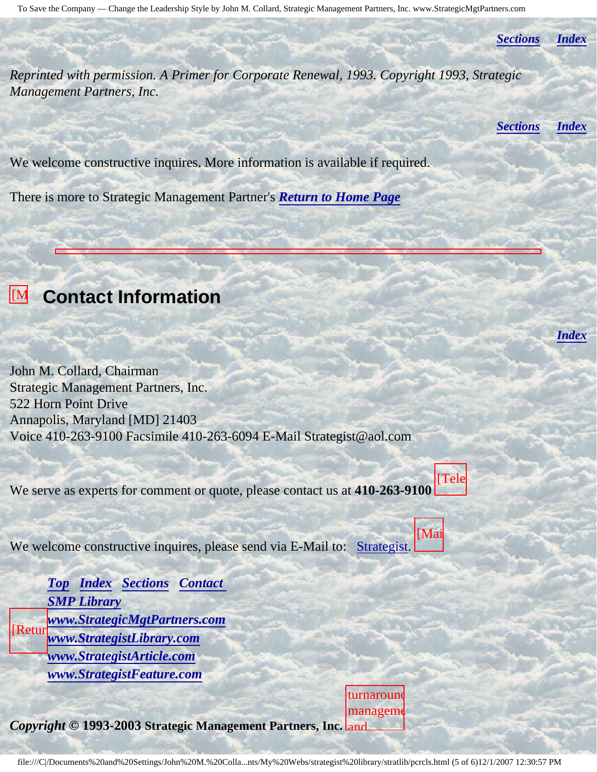*[Sections](#page-0-2) [Index](#page-0-3)*

*Reprinted with permission. A Primer for Corporate Renewal, 1993. Copyright 1993, Strategic Management Partners, Inc.*

*[Sections](#page-0-2) [Index](#page-0-3)*

*[Index](#page-0-3)*

We welcome constructive inquires. More information is available if required.

There is more to Strategic Management Partner's *[Return to Home Page](http://members.aol.com/strategist/home.html#TOP)*

## <span id="page-4-0"></span>**EM** Contact Information

John M. Collard, Chairman Strategic Management Partners, Inc. 522 Horn Point Drive Annapolis, Maryland [MD] 21403 Voice 410-263-9100 Facsimile 410-263-6094 E-Mail Strategist@aol.com

We serve as experts for comment or quote, please contact us at **410-263-9100** [Tele

We welcome constructive inquires, please send via E-Mail to: [Strategist.](mailto:Strategist@aol.com (library pcrcls))

[Retur *[Top](#page-0-4) [Index](#page-0-3) [Sections](#page-0-2) [Contact](#page-4-0)  [SMP Library](http://members.aol.com/stratlib3/libindx.html) [www.StrategicMgtPartners.com](http://www.strategicmgtpartners.com/) [www.StrategistLibrary.com](http://www.strategistlibrary.com/) [www.StrategistArticle.com](http://www.strategistarticle.com/) [www.StrategistFeature.com](http://www.strategistfeature.com/)*

*Copyright* **© 1993-2003 Strategic Management Partners, Inc.** and turnaround manageme [Mai

file:///C|/Documents%20and%20Settings/John%20M.%20Colla...nts/My%20Webs/strategist%20library/stratlib/pcrcls.html (5 of 6)12/1/2007 12:30:57 PM